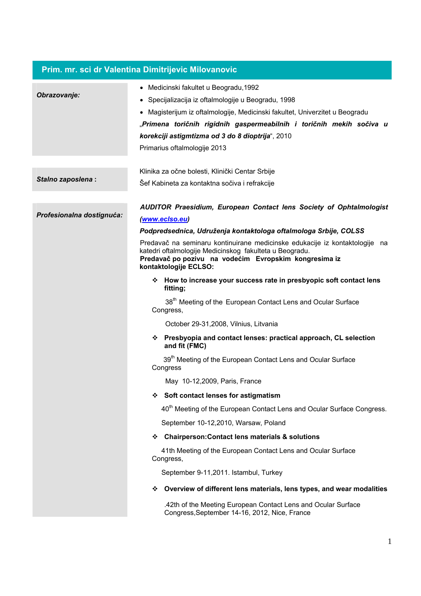| Prim. mr. sci dr Valentina Dimitrijevic Milovanovic |                                                                                                                                                                                                                                                                                                                                                    |
|-----------------------------------------------------|----------------------------------------------------------------------------------------------------------------------------------------------------------------------------------------------------------------------------------------------------------------------------------------------------------------------------------------------------|
| Obrazovanje:                                        | Medicinski fakultet u Beogradu, 1992<br>$\bullet$<br>· Specijalizacija iz oftalmologije u Beogradu, 1998<br>Magisterijum iz oftalmologije, Medicinski fakultet, Univerzitet u Beogradu<br>"Primena toričnih rigidnih gaspermeabilnih i toričnih mekih sočiva u<br>korekciji astigmtizma od 3 do 8 dioptrija", 2010<br>Primarius oftalmologije 2013 |
|                                                     |                                                                                                                                                                                                                                                                                                                                                    |
| Stalno zaposlena:                                   | Klinika za očne bolesti, Klinički Centar Srbije<br>Šef Kabineta za kontaktna sočiva i refrakcije                                                                                                                                                                                                                                                   |
| Profesionalna dostignuća:                           | AUDITOR Praesidium, European Contact lens Society of Ophtalmologist<br>(www.eclso.eu)                                                                                                                                                                                                                                                              |
|                                                     | Podpredsednica, Udruženja kontaktologa oftalmologa Srbije, COLSS                                                                                                                                                                                                                                                                                   |
|                                                     | Predavač na seminaru kontinuirane medicinske edukacije iz kontaktologije na<br>katedri oftalmologije Medicinskog fakulteta u Beogradu.<br>Predavač po pozivu na vodećim Evropskim kongresima iz<br>kontaktologije ECLSO:                                                                                                                           |
|                                                     | * How to increase your success rate in presbyopic soft contact lens<br>fitting;                                                                                                                                                                                                                                                                    |
|                                                     | 38 <sup>th</sup> Meeting of the European Contact Lens and Ocular Surface<br>Congress,                                                                                                                                                                                                                                                              |
|                                                     | October 29-31,2008, Vilnius, Litvania                                                                                                                                                                                                                                                                                                              |
|                                                     | Presbyopia and contact lenses: practical approach, CL selection<br>❖<br>and fit (FMC)                                                                                                                                                                                                                                                              |
|                                                     | 39 <sup>th</sup> Meeting of the European Contact Lens and Ocular Surface<br>Congress                                                                                                                                                                                                                                                               |
|                                                     | May 10-12,2009, Paris, France                                                                                                                                                                                                                                                                                                                      |
|                                                     | ❖ Soft contact lenses for astigmatism                                                                                                                                                                                                                                                                                                              |
|                                                     | 40 <sup>th</sup> Meeting of the European Contact Lens and Ocular Surface Congress.                                                                                                                                                                                                                                                                 |
|                                                     | September 10-12,2010, Warsaw, Poland                                                                                                                                                                                                                                                                                                               |
|                                                     | <b>Chairperson: Contact lens materials &amp; solutions</b><br>❖                                                                                                                                                                                                                                                                                    |
|                                                     | 41th Meeting of the European Contact Lens and Ocular Surface<br>Congress,                                                                                                                                                                                                                                                                          |
|                                                     | September 9-11,2011. Istambul, Turkey                                                                                                                                                                                                                                                                                                              |
|                                                     | ❖ Overview of different lens materials, lens types, and wear modalities                                                                                                                                                                                                                                                                            |
|                                                     | .42th of the Meeting European Contact Lens and Ocular Surface<br>Congress, September 14-16, 2012, Nice, France                                                                                                                                                                                                                                     |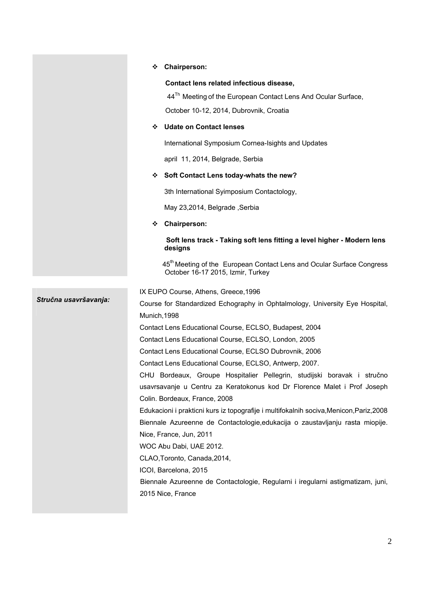|                       | <b>Chairperson:</b><br>❖                                                                                               |
|-----------------------|------------------------------------------------------------------------------------------------------------------------|
|                       | Contact lens related infectious disease,                                                                               |
|                       | 44 <sup>Th</sup> Meeting of the European Contact Lens And Ocular Surface,                                              |
|                       | October 10-12, 2014, Dubrovnik, Croatia                                                                                |
|                       | <b>Udate on Contact lenses</b><br>❖                                                                                    |
|                       | International Symposium Cornea-Isights and Updates                                                                     |
|                       | april 11, 2014, Belgrade, Serbia                                                                                       |
|                       | Soft Contact Lens today-whats the new?<br>❖                                                                            |
|                       | 3th International Syimposium Contactology,                                                                             |
|                       | May 23,2014, Belgrade, Serbia                                                                                          |
|                       | <b>Chairperson:</b><br>❖                                                                                               |
|                       | Soft lens track - Taking soft lens fitting a level higher - Modern lens<br>designs                                     |
|                       | 45 <sup>th</sup> Meeting of the European Contact Lens and Ocular Surface Congress<br>October 16-17 2015, Izmir, Turkey |
| Stručna usavršavanja: | IX EUPO Course, Athens, Greece, 1996                                                                                   |
|                       | Course for Standardized Echography in Ophtalmology, University Eye Hospital,                                           |
|                       | Munich, 1998                                                                                                           |
|                       | Contact Lens Educational Course, ECLSO, Budapest, 2004                                                                 |
|                       | Contact Lens Educational Course, ECLSO, London, 2005                                                                   |
|                       | Contact Lens Educational Course, ECLSO Dubrovnik, 2006                                                                 |
|                       | Contact Lens Educational Course, ECLSO, Antwerp, 2007.                                                                 |
|                       | CHU Bordeaux, Groupe Hospitalier Pellegrin, studijski boravak i stručno                                                |
|                       | usavrsavanje u Centru za Keratokonus kod Dr Florence Malet i Prof Joseph                                               |
|                       | Colin. Bordeaux, France, 2008                                                                                          |
|                       | Edukacioni i prakticni kurs iz topografije i multifokalnih sociva, Menicon, Pariz, 2008                                |
|                       | Biennale Azureenne de Contactologie, edukacija o zaustavljanju rasta miopije.                                          |
|                       | Nice, France, Jun, 2011                                                                                                |
|                       | WOC Abu Dabi, UAE 2012.                                                                                                |
|                       | CLAO, Toronto, Canada, 2014,                                                                                           |
|                       | ICOI, Barcelona, 2015                                                                                                  |
|                       | Biennale Azureenne de Contactologie, Regularni i iregularni astigmatizam, juni,<br>2015 Nice, France                   |
|                       |                                                                                                                        |